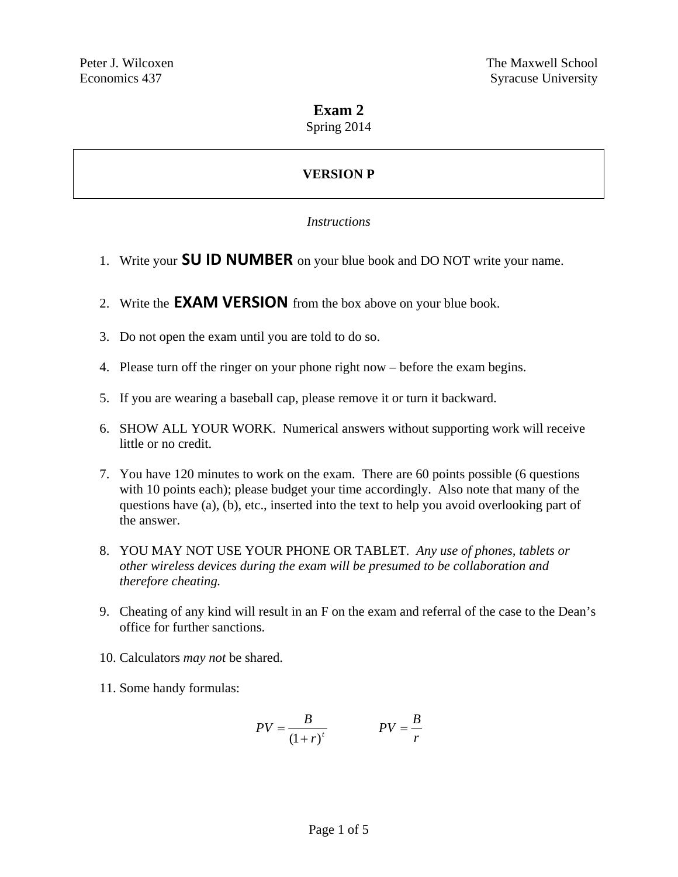# **Exam 2**

Spring 2014

# **VERSION P**

### *Instructions*

- 1. Write your **SU ID NUMBER** on your blue book and DO NOT write your name.
- 2. Write the **EXAM VERSION** from the box above on your blue book.
- 3. Do not open the exam until you are told to do so.
- 4. Please turn off the ringer on your phone right now before the exam begins.
- 5. If you are wearing a baseball cap, please remove it or turn it backward.
- 6. SHOW ALL YOUR WORK. Numerical answers without supporting work will receive little or no credit.
- 7. You have 120 minutes to work on the exam. There are 60 points possible (6 questions with 10 points each); please budget your time accordingly. Also note that many of the questions have (a), (b), etc., inserted into the text to help you avoid overlooking part of the answer.
- 8. YOU MAY NOT USE YOUR PHONE OR TABLET. *Any use of phones, tablets or other wireless devices during the exam will be presumed to be collaboration and therefore cheating.*
- 9. Cheating of any kind will result in an F on the exam and referral of the case to the Dean's office for further sanctions.
- 10. Calculators *may not* be shared.
- 11. Some handy formulas:

$$
PV = \frac{B}{(1+r)^t}
$$
 
$$
PV = \frac{B}{r}
$$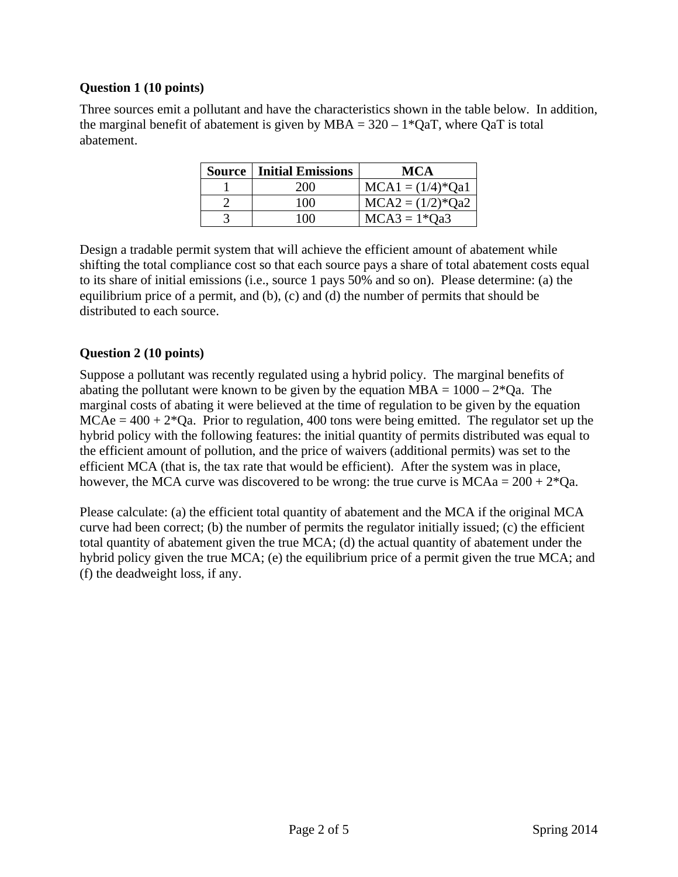### **Question 1 (10 points)**

Three sources emit a pollutant and have the characteristics shown in the table below. In addition, the marginal benefit of abatement is given by  $MBA = 320 - 1*QaT$ , where QaT is total abatement.

| <b>Source   Initial Emissions</b> | MCA                |  |
|-----------------------------------|--------------------|--|
| 200                               | $MCA1 = (1/4)*Qa1$ |  |
| 100                               | $MCA2 = (1/2)*Qa2$ |  |
| 100                               | $MCA3 = 1*Qa3$     |  |

Design a tradable permit system that will achieve the efficient amount of abatement while shifting the total compliance cost so that each source pays a share of total abatement costs equal to its share of initial emissions (i.e., source 1 pays 50% and so on). Please determine: (a) the equilibrium price of a permit, and (b), (c) and (d) the number of permits that should be distributed to each source.

# **Question 2 (10 points)**

Suppose a pollutant was recently regulated using a hybrid policy. The marginal benefits of abating the pollutant were known to be given by the equation  $MBA = 1000 - 2*Qa$ . The marginal costs of abating it were believed at the time of regulation to be given by the equation  $MCAe = 400 + 2*Qa$ . Prior to regulation, 400 tons were being emitted. The regulator set up the hybrid policy with the following features: the initial quantity of permits distributed was equal to the efficient amount of pollution, and the price of waivers (additional permits) was set to the efficient MCA (that is, the tax rate that would be efficient). After the system was in place, however, the MCA curve was discovered to be wrong: the true curve is  $MCAa = 200 + 2*Qa$ .

Please calculate: (a) the efficient total quantity of abatement and the MCA if the original MCA curve had been correct; (b) the number of permits the regulator initially issued; (c) the efficient total quantity of abatement given the true MCA; (d) the actual quantity of abatement under the hybrid policy given the true MCA; (e) the equilibrium price of a permit given the true MCA; and (f) the deadweight loss, if any.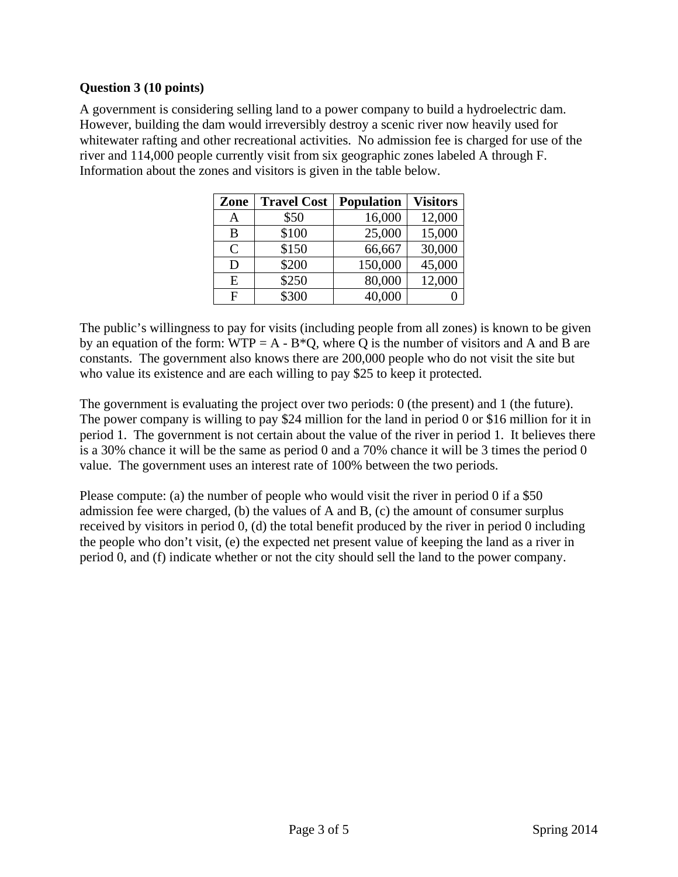### **Question 3 (10 points)**

A government is considering selling land to a power company to build a hydroelectric dam. However, building the dam would irreversibly destroy a scenic river now heavily used for whitewater rafting and other recreational activities. No admission fee is charged for use of the river and 114,000 people currently visit from six geographic zones labeled A through F. Information about the zones and visitors is given in the table below.

| Zone         | <b>Travel Cost</b> | <b>Population</b> | <b>Visitors</b> |
|--------------|--------------------|-------------------|-----------------|
| А            | \$50               | 16,000            | 12,000          |
| B            | \$100              | 25,000            | 15,000          |
| $\mathsf{C}$ | \$150              | 66,667            | 30,000          |
| D            | \$200              | 150,000           | 45,000          |
| E            | \$250              | 80,000            | 12,000          |
| F            | \$300              | 40,000            |                 |

The public's willingness to pay for visits (including people from all zones) is known to be given by an equation of the form:  $WTP = A - B^*Q$ , where Q is the number of visitors and A and B are constants. The government also knows there are 200,000 people who do not visit the site but who value its existence and are each willing to pay \$25 to keep it protected.

The government is evaluating the project over two periods: 0 (the present) and 1 (the future). The power company is willing to pay \$24 million for the land in period 0 or \$16 million for it in period 1. The government is not certain about the value of the river in period 1. It believes there is a 30% chance it will be the same as period 0 and a 70% chance it will be 3 times the period 0 value. The government uses an interest rate of 100% between the two periods.

Please compute: (a) the number of people who would visit the river in period 0 if a \$50 admission fee were charged, (b) the values of A and B, (c) the amount of consumer surplus received by visitors in period 0, (d) the total benefit produced by the river in period 0 including the people who don't visit, (e) the expected net present value of keeping the land as a river in period 0, and (f) indicate whether or not the city should sell the land to the power company.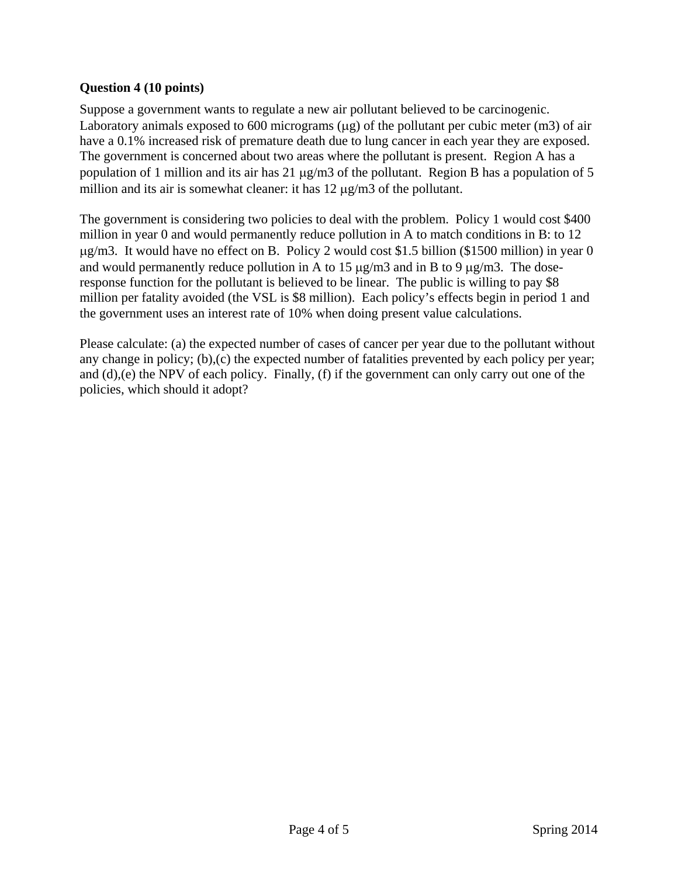### **Question 4 (10 points)**

Suppose a government wants to regulate a new air pollutant believed to be carcinogenic. Laboratory animals exposed to 600 micrograms  $(\mu g)$  of the pollutant per cubic meter (m3) of air have a 0.1% increased risk of premature death due to lung cancer in each year they are exposed. The government is concerned about two areas where the pollutant is present. Region A has a population of 1 million and its air has 21  $\mu$ g/m3 of the pollutant. Region B has a population of 5 million and its air is somewhat cleaner: it has  $12 \mu g/m3$  of the pollutant.

The government is considering two policies to deal with the problem. Policy 1 would cost \$400 million in year 0 and would permanently reduce pollution in A to match conditions in B: to 12  $\mu$ g/m3. It would have no effect on B. Policy 2 would cost \$1.5 billion (\$1500 million) in year 0 and would permanently reduce pollution in A to 15  $\mu$ g/m3 and in B to 9  $\mu$ g/m3. The doseresponse function for the pollutant is believed to be linear. The public is willing to pay \$8 million per fatality avoided (the VSL is \$8 million). Each policy's effects begin in period 1 and the government uses an interest rate of 10% when doing present value calculations.

Please calculate: (a) the expected number of cases of cancer per year due to the pollutant without any change in policy; (b),(c) the expected number of fatalities prevented by each policy per year; and (d),(e) the NPV of each policy. Finally, (f) if the government can only carry out one of the policies, which should it adopt?